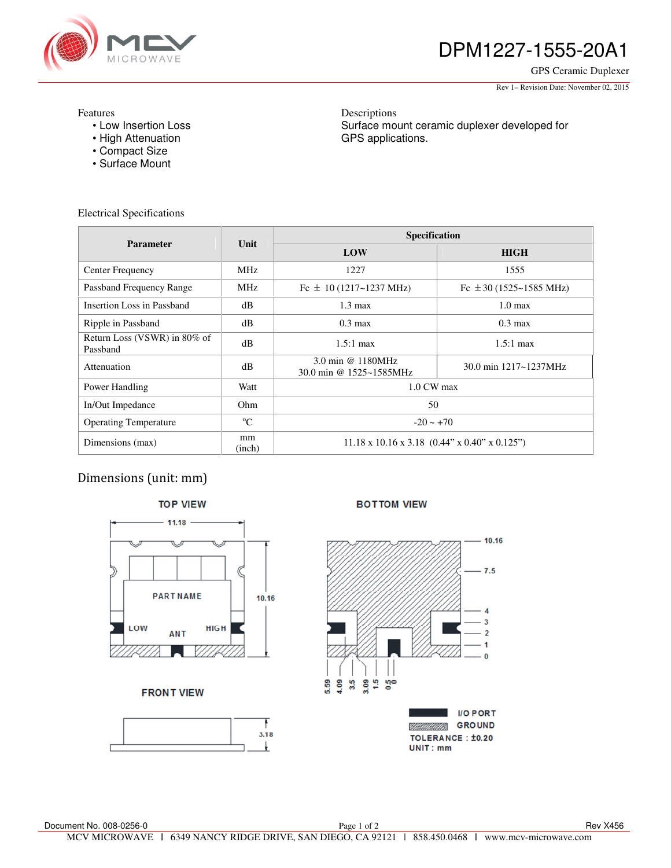

# DPM1227-1555-20A1

GPS Ceramic Duplexer

Rev 1– Revision Date: November 02, 2015

#### Features

- Low Insertion Loss
- High Attenuation
- Compact Size
- Surface Mount

Descriptions Surface mount ceramic duplexer developed for GPS applications.

Electrical Specifications

| <b>Parameter</b>                         | Unit         | <b>Specification</b>                                      |                             |
|------------------------------------------|--------------|-----------------------------------------------------------|-----------------------------|
|                                          |              | LOW                                                       | <b>HIGH</b>                 |
| Center Frequency                         | <b>MHz</b>   | 1227                                                      | 1555                        |
| Passband Frequency Range                 | <b>MHz</b>   | Fc $\pm$ 10 (1217~1237 MHz)                               | Fc $\pm$ 30 (1525~1585 MHz) |
| Insertion Loss in Passband               | dB           | $1.3 \text{ max}$                                         | $1.0 \text{ max}$           |
| Ripple in Passband                       | dB           | $0.3 \text{ max}$                                         | $0.3 \text{ max}$           |
| Return Loss (VSWR) in 80% of<br>Passband | dB           | $1.5:1$ max                                               | $1.5:1$ max                 |
| Attenuation                              | dB           | 3.0 min @ 1180MHz<br>30.0 min @ 1525~1585MHz              | 30.0 min 1217~1237MHz       |
| Power Handling                           | Watt         | 1.0 CW max                                                |                             |
| In/Out Impedance                         | Ohm.         | 50                                                        |                             |
| <b>Operating Temperature</b>             | $^{\circ}C$  | $-20 \sim +70$                                            |                             |
| Dimensions (max)                         | mm<br>(inch) | $11.18 \times 10.16 \times 3.18$ (0.44" x 0.40" x 0.125") |                             |

## Dimensions (unit: mm)



#### **FRONT VIEW**



**BOTTOM VIEW** 



**I/O PORT GROUND** UMAR **TOLERANCE: ±0.20** UNIT: mm